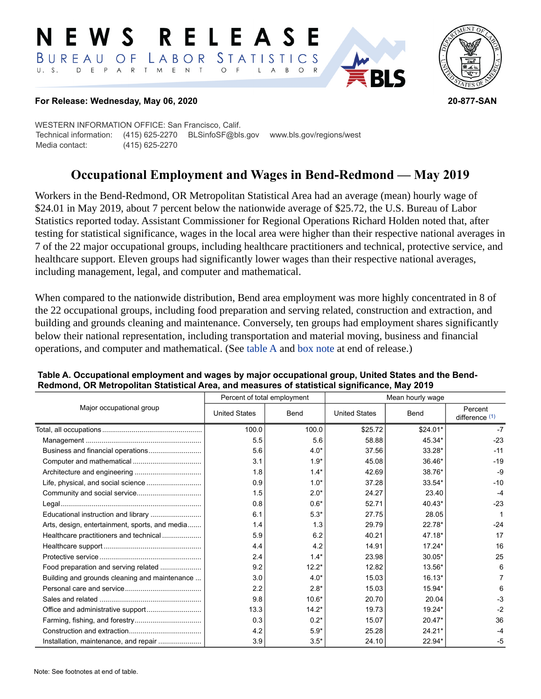#### E W S **RELEASE** LABOR STATISTICS BUREAU OF D E P A R T M E N T  $\circ$  $U. S.$  $F$  $\mathsf{L}$  $\overline{A}$ B  $O$   $R$



### **For Release: Wednesday, May 06, 2020 20-877-SAN**

WESTERN INFORMATION OFFICE: San Francisco, Calif. Technical information: (415) 625-2270 BLSinfoSF@bls.gov www.bls.gov/regions/west Media contact: (415) 625-2270

# **Occupational Employment and Wages in Bend-Redmond — May 2019**

Workers in the Bend-Redmond, OR Metropolitan Statistical Area had an average (mean) hourly wage of \$24.01 in May 2019, about 7 percent below the nationwide average of \$25.72, the U.S. Bureau of Labor Statistics reported today. Assistant Commissioner for Regional Operations Richard Holden noted that, after testing for statistical significance, wages in the local area were higher than their respective national averages in 7 of the 22 major occupational groups, including healthcare practitioners and technical, protective service, and healthcare support. Eleven groups had significantly lower wages than their respective national averages, including management, legal, and computer and mathematical.

When compared to the nationwide distribution, Bend area employment was more highly concentrated in 8 of the 22 occupational groups, including food preparation and serving related, construction and extraction, and building and grounds cleaning and maintenance. Conversely, ten groups had employment shares significantly below their national representation, including transportation and material moving, business and financial operations, and computer and mathematical. (See table A and [box note](#page-2-0) at end of release.)

|                                                |                      | Percent of total employment | Mean hourly wage     |           |                             |  |
|------------------------------------------------|----------------------|-----------------------------|----------------------|-----------|-----------------------------|--|
| Major occupational group                       | <b>United States</b> | Bend                        | <b>United States</b> | Bend      | Percent<br>difference $(1)$ |  |
|                                                | 100.0                | 100.0                       | \$25.72              | $$24.01*$ | $-7$                        |  |
|                                                | 5.5                  | 5.6                         | 58.88                | 45.34*    | $-23$                       |  |
|                                                | 5.6                  | $4.0*$                      | 37.56                | 33.28*    | $-11$                       |  |
|                                                | 3.1                  | $1.9*$                      | 45.08                | $36.46*$  | $-19$                       |  |
|                                                | 1.8                  | $1.4*$                      | 42.69                | 38.76*    | $-9$                        |  |
|                                                | 0.9                  | $1.0*$                      | 37.28                | 33.54*    | $-10$                       |  |
| Community and social service                   | 1.5                  | $2.0*$                      | 24.27                | 23.40     | $-4$                        |  |
|                                                | 0.8                  | $0.6*$                      | 52.71                | $40.43*$  | $-23$                       |  |
| Educational instruction and library            | 6.1                  | $5.3*$                      | 27.75                | 28.05     |                             |  |
| Arts, design, entertainment, sports, and media | 1.4                  | 1.3                         | 29.79                | 22.78*    | $-24$                       |  |
| Healthcare practitioners and technical         | 5.9                  | 6.2                         | 40.21                | 47.18*    | 17                          |  |
|                                                | 4.4                  | 4.2                         | 14.91                | $17.24*$  | 16                          |  |
|                                                | 2.4                  | $1.4*$                      | 23.98                | $30.05*$  | 25                          |  |
| Food preparation and serving related           | 9.2                  | $12.2*$                     | 12.82                | 13.56*    | 6                           |  |
| Building and grounds cleaning and maintenance  | 3.0                  | $4.0*$                      | 15.03                | $16.13*$  |                             |  |
|                                                | 2.2                  | $2.8*$                      | 15.03                | 15.94*    | 6                           |  |
|                                                | 9.8                  | $10.6*$                     | 20.70                | 20.04     | $-3$                        |  |
|                                                | 13.3                 | $14.2*$                     | 19.73                | 19.24*    | $-2$                        |  |
|                                                | 0.3                  | $0.2*$                      | 15.07                | $20.47*$  | 36                          |  |
|                                                | 4.2                  | $5.9*$                      | 25.28                | $24.21*$  | $-4$                        |  |
| Installation, maintenance, and repair          | 3.9                  | $3.5*$                      | 24.10                | 22.94*    | -5                          |  |

#### **Table A. Occupational employment and wages by major occupational group, United States and the Bend-Redmond, OR Metropolitan Statistical Area, and measures of statistical significance, May 2019**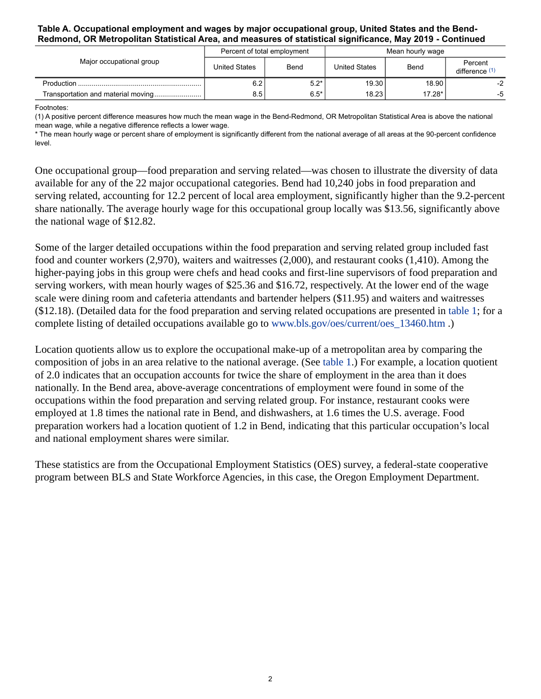### **Table A. Occupational employment and wages by major occupational group, United States and the Bend-Redmond, OR Metropolitan Statistical Area, and measures of statistical significance, May 2019 - Continued**

| Major occupational group            |               | Percent of total employment | Mean hourly wage     |          |                           |
|-------------------------------------|---------------|-----------------------------|----------------------|----------|---------------------------|
|                                     | United States | Bend                        | <b>United States</b> | Bend     | Percent<br>difference (1) |
|                                     | 6.2           | $5.2*$                      | 19.30                | 18.90    | -2                        |
| Transportation and material moving! | 8.5           | $6.5*$                      | 18.23                | $17.28*$ | -5                        |

<span id="page-1-0"></span>Footnotes:

(1) A positive percent difference measures how much the mean wage in the Bend-Redmond, OR Metropolitan Statistical Area is above the national mean wage, while a negative difference reflects a lower wage.

\* The mean hourly wage or percent share of employment is significantly different from the national average of all areas at the 90-percent confidence level.

One occupational group—food preparation and serving related—was chosen to illustrate the diversity of data available for any of the 22 major occupational categories. Bend had 10,240 jobs in food preparation and serving related, accounting for 12.2 percent of local area employment, significantly higher than the 9.2-percent share nationally. The average hourly wage for this occupational group locally was \$13.56, significantly above the national wage of \$12.82.

Some of the larger detailed occupations within the food preparation and serving related group included fast food and counter workers (2,970), waiters and waitresses (2,000), and restaurant cooks (1,410). Among the higher-paying jobs in this group were chefs and head cooks and first-line supervisors of food preparation and serving workers, with mean hourly wages of \$25.36 and \$16.72, respectively. At the lower end of the wage scale were dining room and cafeteria attendants and bartender helpers (\$11.95) and waiters and waitresses (\$12.18). (Detailed data for the food preparation and serving related occupations are presented in table 1; for a complete listing of detailed occupations available go to [www.bls.gov/oes/current/oes\\_13460.htm](https://www.bls.gov/oes/current/oes_13460.htm) .)

Location quotients allow us to explore the occupational make-up of a metropolitan area by comparing the composition of jobs in an area relative to the national average. (See table 1.) For example, a location quotient of 2.0 indicates that an occupation accounts for twice the share of employment in the area than it does nationally. In the Bend area, above-average concentrations of employment were found in some of the occupations within the food preparation and serving related group. For instance, restaurant cooks were employed at 1.8 times the national rate in Bend, and dishwashers, at 1.6 times the U.S. average. Food preparation workers had a location quotient of 1.2 in Bend, indicating that this particular occupation's local and national employment shares were similar.

These statistics are from the Occupational Employment Statistics (OES) survey, a federal-state cooperative program between BLS and State Workforce Agencies, in this case, the Oregon Employment Department.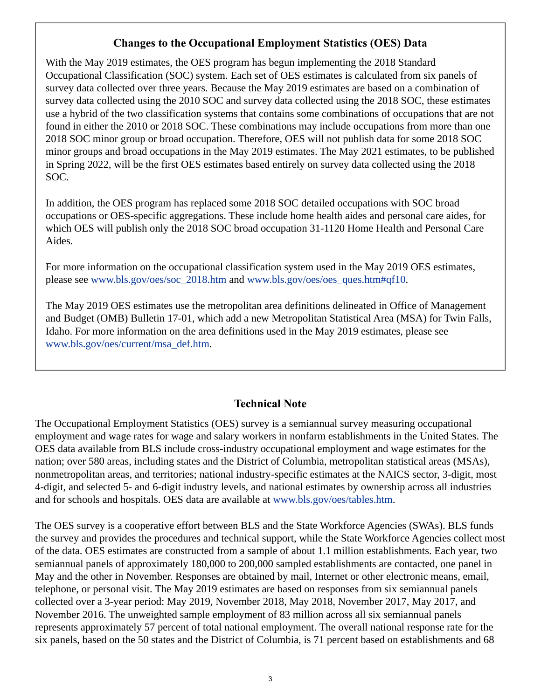# **Changes to the Occupational Employment Statistics (OES) Data**

<span id="page-2-0"></span>With the May 2019 estimates, the OES program has begun implementing the 2018 Standard Occupational Classification (SOC) system. Each set of OES estimates is calculated from six panels of survey data collected over three years. Because the May 2019 estimates are based on a combination of survey data collected using the 2010 SOC and survey data collected using the 2018 SOC, these estimates use a hybrid of the two classification systems that contains some combinations of occupations that are not found in either the 2010 or 2018 SOC. These combinations may include occupations from more than one 2018 SOC minor group or broad occupation. Therefore, OES will not publish data for some 2018 SOC minor groups and broad occupations in the May 2019 estimates. The May 2021 estimates, to be published in Spring 2022, will be the first OES estimates based entirely on survey data collected using the 2018 SOC.

In addition, the OES program has replaced some 2018 SOC detailed occupations with SOC broad occupations or OES-specific aggregations. These include home health aides and personal care aides, for which OES will publish only the 2018 SOC broad occupation 31-1120 Home Health and Personal Care Aides.

For more information on the occupational classification system used in the May 2019 OES estimates, please see [www.bls.gov/oes/soc\\_2018.htm](https://www.bls.gov/oes/soc_2018.htm) and [www.bls.gov/oes/oes\\_ques.htm#qf10](https://www.bls.gov/oes/oes_ques.htm#qf10).

The May 2019 OES estimates use the metropolitan area definitions delineated in Office of Management and Budget (OMB) Bulletin 17-01, which add a new Metropolitan Statistical Area (MSA) for Twin Falls, Idaho. For more information on the area definitions used in the May 2019 estimates, please see [www.bls.gov/oes/current/msa\\_def.htm](https://www.bls.gov/oes/current/msa_def.htm).

# **Technical Note**

The Occupational Employment Statistics (OES) survey is a semiannual survey measuring occupational employment and wage rates for wage and salary workers in nonfarm establishments in the United States. The OES data available from BLS include cross-industry occupational employment and wage estimates for the nation; over 580 areas, including states and the District of Columbia, metropolitan statistical areas (MSAs), nonmetropolitan areas, and territories; national industry-specific estimates at the NAICS sector, 3-digit, most 4-digit, and selected 5- and 6-digit industry levels, and national estimates by ownership across all industries and for schools and hospitals. OES data are available at [www.bls.gov/oes/tables.htm](https://www.bls.gov/oes/tables.htm).

The OES survey is a cooperative effort between BLS and the State Workforce Agencies (SWAs). BLS funds the survey and provides the procedures and technical support, while the State Workforce Agencies collect most of the data. OES estimates are constructed from a sample of about 1.1 million establishments. Each year, two semiannual panels of approximately 180,000 to 200,000 sampled establishments are contacted, one panel in May and the other in November. Responses are obtained by mail, Internet or other electronic means, email, telephone, or personal visit. The May 2019 estimates are based on responses from six semiannual panels collected over a 3-year period: May 2019, November 2018, May 2018, November 2017, May 2017, and November 2016. The unweighted sample employment of 83 million across all six semiannual panels represents approximately 57 percent of total national employment. The overall national response rate for the six panels, based on the 50 states and the District of Columbia, is 71 percent based on establishments and 68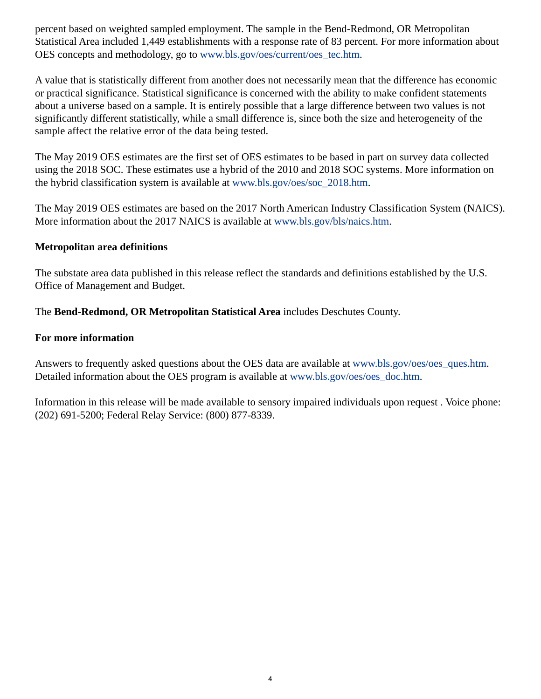percent based on weighted sampled employment. The sample in the Bend-Redmond, OR Metropolitan Statistical Area included 1,449 establishments with a response rate of 83 percent. For more information about OES concepts and methodology, go to [www.bls.gov/oes/current/oes\\_tec.htm](https://www.bls.gov/oes/current/oes_tec.htm).

A value that is statistically different from another does not necessarily mean that the difference has economic or practical significance. Statistical significance is concerned with the ability to make confident statements about a universe based on a sample. It is entirely possible that a large difference between two values is not significantly different statistically, while a small difference is, since both the size and heterogeneity of the sample affect the relative error of the data being tested.

The May 2019 OES estimates are the first set of OES estimates to be based in part on survey data collected using the 2018 SOC. These estimates use a hybrid of the 2010 and 2018 SOC systems. More information on the hybrid classification system is available at [www.bls.gov/oes/soc\\_2018.htm.](https://www.bls.gov/oes/soc_2018.htm)

The May 2019 OES estimates are based on the 2017 North American Industry Classification System (NAICS). More information about the 2017 NAICS is available at [www.bls.gov/bls/naics.htm.](https://www.bls.gov/bls/naics.htm)

### **Metropolitan area definitions**

The substate area data published in this release reflect the standards and definitions established by the U.S. Office of Management and Budget.

The **Bend-Redmond, OR Metropolitan Statistical Area** includes Deschutes County.

### **For more information**

Answers to frequently asked questions about the OES data are available at [www.bls.gov/oes/oes\\_ques.htm.](https://www.bls.gov/oes/oes_ques.htm) Detailed information about the OES program is available at [www.bls.gov/oes/oes\\_doc.htm](https://www.bls.gov/oes/oes_doc.htm).

Information in this release will be made available to sensory impaired individuals upon request . Voice phone: (202) 691-5200; Federal Relay Service: (800) 877-8339.